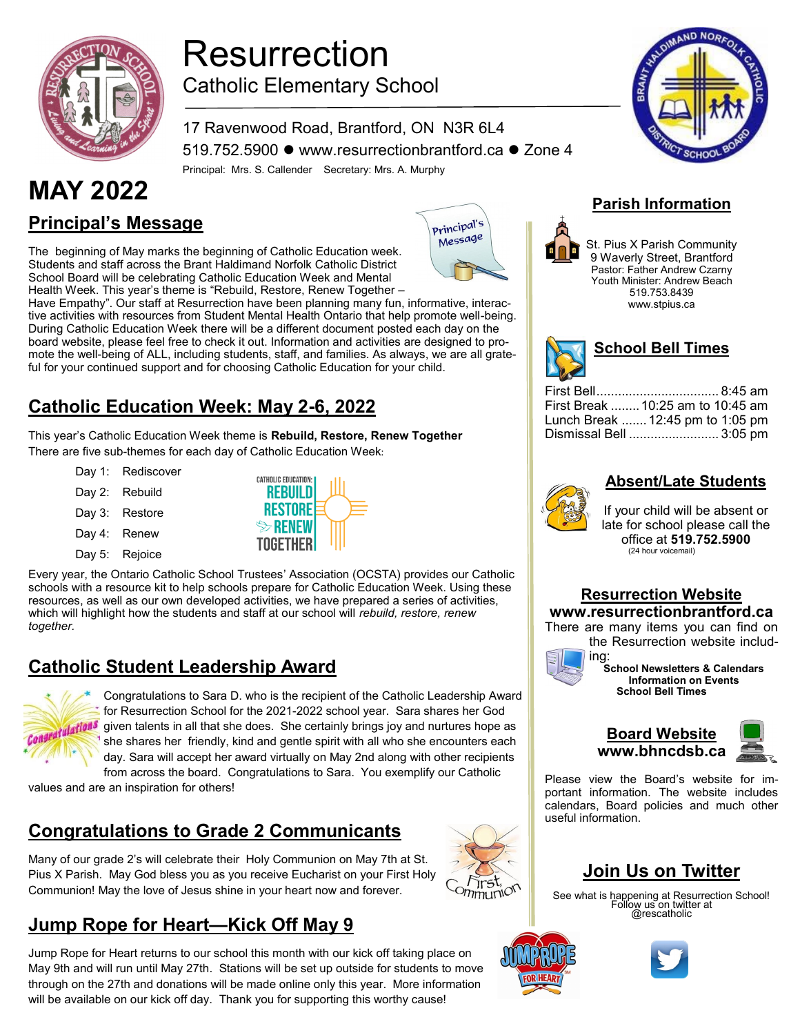

## Resurrection Catholic Elementary School

17 Ravenwood Road, Brantford, ON N3R 6L4 519.752.5900 ⚫ www.resurrectionbrantford.ca ⚫ Zone 4 Principal: Mrs. S. Callender Secretary: Mrs. A. Murphy

# **MAY 2022 Parish Information**

**Principal's Message**

The beginning of May marks the beginning of Catholic Education week. Students and staff across the Brant Haldimand Norfolk Catholic District School Board will be celebrating Catholic Education Week and Mental Health Week. This year's theme is "Rebuild, Restore, Renew Together –

Have Empathy". Our staff at Resurrection have been planning many fun, informative, interactive activities with resources from Student Mental Health Ontario that help promote well-being. During Catholic Education Week there will be a different document posted each day on the board website, please feel free to check it out. Information and activities are designed to promote the well-being of ALL, including students, staff, and families. As always, we are all grateful for your continued support and for choosing Catholic Education for your child.

#### **Catholic Education Week: May 2-6, 2022**

This year's Catholic Education Week theme is **Rebuild, Restore, Renew Together** There are five sub-themes for each day of Catholic Education Week:

- Day 1: Rediscover
- Day 2: Rebuild Day 3: Restore
- Day 4: Renew
- Day 5: Rejoice



Every year, the Ontario Catholic School Trustees' Association (OCSTA) provides our Catholic schools with a resource kit to help schools prepare for Catholic Education Week. Using these resources, as well as our own developed activities, we have prepared a series of activities, which will highlight how the students and staff at our school will *rebuild, restore, renew together.*

#### **Catholic Student Leadership Award**



Congratulations to Sara D. who is the recipient of the Catholic Leadership Award for Resurrection School for the 2021-2022 school year. Sara shares her God given talents in all that she does. She certainly brings joy and nurtures hope as she shares her friendly, kind and gentle spirit with all who she encounters each day. Sara will accept her award virtually on May 2nd along with other recipients from across the board. Congratulations to Sara. You exemplify our Catholic

values and are an inspiration for others!

#### **Congratulations to Grade 2 Communicants**

Many of our grade 2's will celebrate their Holy Communion on May 7th at St. Pius X Parish. May God bless you as you receive Eucharist on your First Holy Communion! May the love of Jesus shine in your heart now and forever.

## **Jump Rope for Heart—Kick Off May 9**

Jump Rope for Heart returns to our school this month with our kick off taking place on May 9th and will run until May 27th. Stations will be set up outside for students to move through on the 27th and donations will be made online only this year. More information will be available on our kick off day. Thank you for supporting this worthy cause!





St. Pius X Parish Community 9 Waverly Street, Brantford Pastor: Father Andrew Czarny Youth Minister: Andrew Beach 519.753.8439 www.stpius.ca



| First Break  10:25 am to 10:45 am |  |
|-----------------------------------|--|
| Lunch Break  12:45 pm to 1:05 pm  |  |
| Dismissal Bell  3:05 pm           |  |

#### **Absent/Late Students**

If your child will be absent or late for school please call the office at **519.752.5900** (24 hour voicemail)

#### **Resurrection Website**

#### **www.resurrectionbrantford.ca**

There are many items you can find on the Resurrection website includ-



ing: **School Newsletters & Calendars Information on Events School Bell Times**



Please view the Board's website for important information. The website includes calendars, Board policies and much other useful information.

#### **Join Us on Twitter**

See what is happening at Resurrection School! Follow us on twitter at @rescatholic



Trst,  $O(n)$  $m \times O$ 





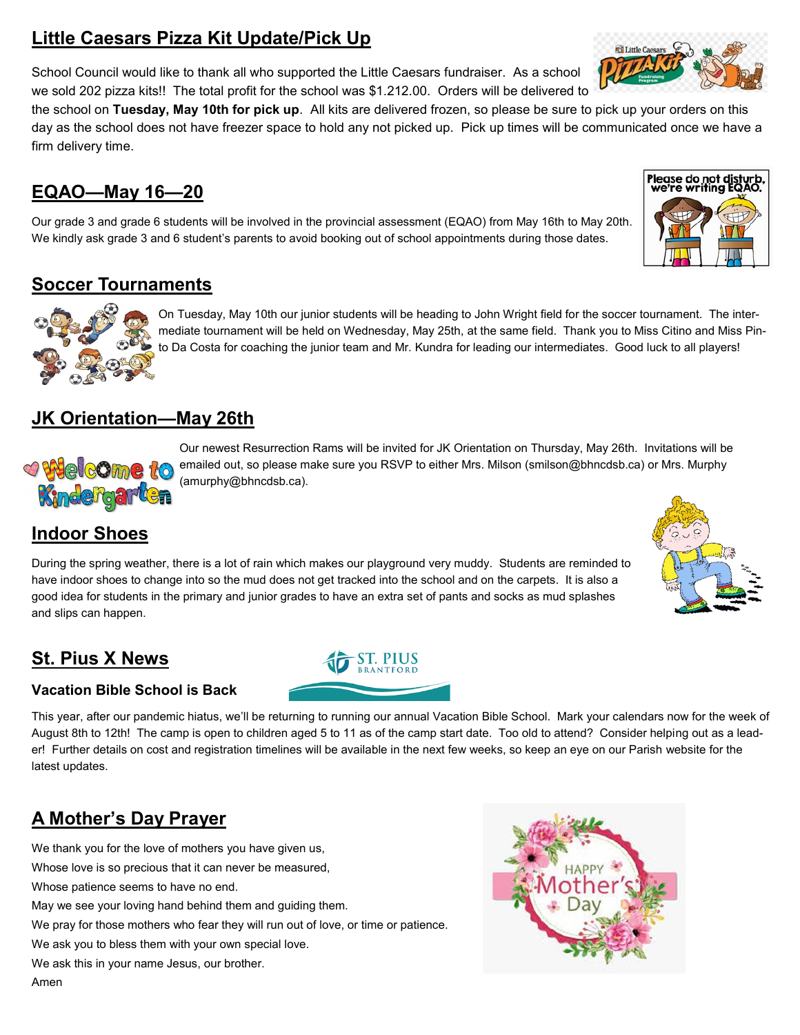## **Little Caesars Pizza Kit Update/Pick Up**

School Council would like to thank all who supported the Little Caesars fundraiser. As a school we sold 202 pizza kits!! The total profit for the school was \$1.212.00. Orders will be delivered to

the school on **Tuesday, May 10th for pick up**. All kits are delivered frozen, so please be sure to pick up your orders on this day as the school does not have freezer space to hold any not picked up. Pick up times will be communicated once we have a firm delivery time.

#### **EQAO—May 16—20**

Our grade 3 and grade 6 students will be involved in the provincial assessment (EQAO) from May 16th to May 20th. We kindly ask grade 3 and 6 student's parents to avoid booking out of school appointments during those dates.

#### **Soccer Tournaments**

On Tuesday, May 10th our junior students will be heading to John Wright field for the soccer tournament. The intermediate tournament will be held on Wednesday, May 25th, at the same field. Thank you to Miss Citino and Miss Pinto Da Costa for coaching the junior team and Mr. Kundra for leading our intermediates. Good luck to all players!

#### **JK Orientation—May 26th**

Our newest Resurrection Rams will be invited for JK Orientation on Thursday, May 26th. Invitations will be **O** Welcome to emailed out, so please make sure you RSVP to either Mrs. Milson (smilson@bhncdsb.ca) or Mrs. Murphy (amurphy@bhncdsb.ca). Kindergarten

#### **Indoor Shoes**

During the spring weather, there is a lot of rain which makes our playground very muddy. Students are reminded to have indoor shoes to change into so the mud does not get tracked into the school and on the carpets. It is also a good idea for students in the primary and junior grades to have an extra set of pants and socks as mud splashes and slips can happen.

#### **St. Pius X News**

**Vacation Bible School is Back**

This year, after our pandemic hiatus, we'll be returning to running our annual Vacation Bible School. Mark your calendars now for the week of August 8th to 12th! The camp is open to children aged 5 to 11 as of the camp start date. Too old to attend? Consider helping out as a leader! Further details on cost and registration timelines will be available in the next few weeks, so keep an eye on our Parish website for the latest updates.

## **A Mother's Day Prayer**

We thank you for the love of mothers you have given us,

Whose love is so precious that it can never be measured,

Whose patience seems to have no end.

May we see your loving hand behind them and guiding them.

We pray for those mothers who fear they will run out of love, or time or patience.

We ask you to bless them with your own special love.

We ask this in your name Jesus, our brother.

Amen